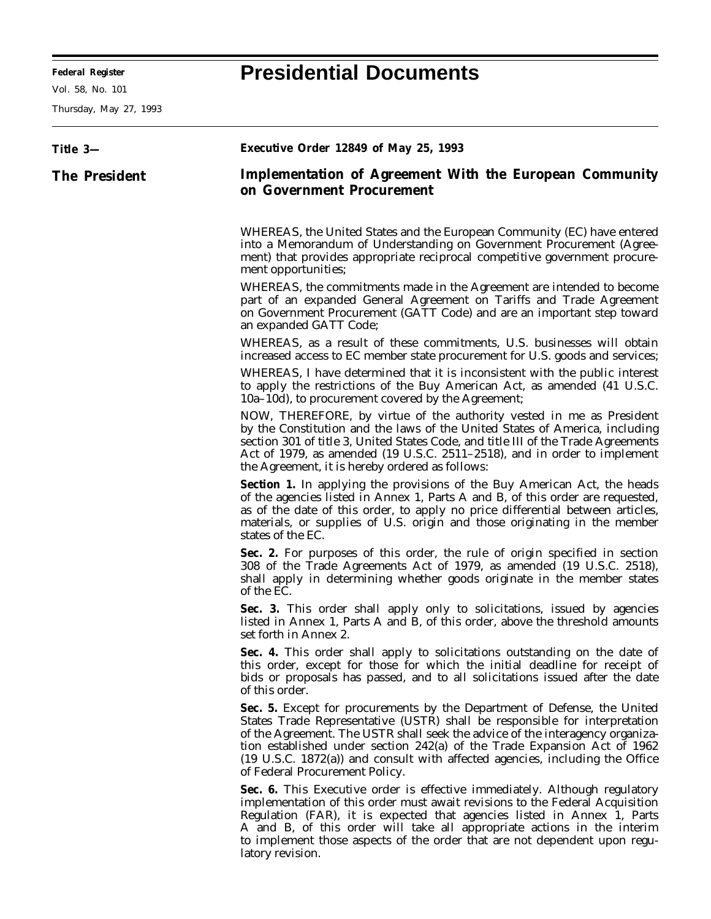**Federal Register Presidential Documents**

Thursday, May 27, 1993

## **Title 3— The President Executive Order 12849 of May 25, 1993 Implementation of Agreement With the European Community on Government Procurement** WHEREAS, the United States and the European Community (EC) have entered into a Memorandum of Understanding on Government Procurement (Agreement) that provides appropriate reciprocal competitive government procurement opportunities; WHEREAS, the commitments made in the Agreement are intended to become part of an expanded General Agreement on Tariffs and Trade Agreement on Government Procurement (GATT Code) and are an important step toward an expanded GATT Code; WHEREAS, as a result of these commitments, U.S. businesses will obtain increased access to EC member state procurement for U.S. goods and services; WHEREAS, I have determined that it is inconsistent with the public interest to apply the restrictions of the Buy American Act, as amended (41 U.S.C. 10a–10d), to procurement covered by the Agreement; NOW, THEREFORE, by virtue of the authority vested in me as President by the Constitution and the laws of the United States of America, including section 301 of title 3, United States Code, and title III of the Trade Agreements Act of 1979, as amended (19 U.S.C. 2511–2518), and in order to implement the Agreement, it is hereby ordered as follows: Section 1. In applying the provisions of the Buy American Act, the heads of the agencies listed in Annex 1, Parts A and B, of this order are requested, as of the date of this order, to apply no price differential between articles, materials, or supplies of U.S. origin and those originating in the member states of the EC. **Sec. 2.** For purposes of this order, the rule of origin specified in section 308 of the Trade Agreements Act of 1979, as amended (19 U.S.C. 2518), shall apply in determining whether goods originate in the member states of the EC. **Sec. 3.** This order shall apply only to solicitations, issued by agencies listed in Annex 1, Parts A and B, of this order, above the threshold amounts set forth in Annex 2. **Sec. 4.** This order shall apply to solicitations outstanding on the date of this order, except for those for which the initial deadline for receipt of bids or proposals has passed, and to all solicitations issued after the date of this order. **Sec. 5.** Except for procurements by the Department of Defense, the United States Trade Representative (USTR) shall be responsible for interpretation of the Agreement. The USTR shall seek the advice of the interagency organization established under section 242(a) of the Trade Expansion Act of 1962 (19 U.S.C. 1872(a)) and consult with affected agencies, including the Office of Federal Procurement Policy. **Sec. 6.** This Executive order is effective immediately. Although regulatory implementation of this order must await revisions to the Federal Acquisition Regulation (FAR), it is expected that agencies listed in Annex 1, Parts A and B, of this order will take all appropriate actions in the interim

to implement those aspects of the order that are not dependent upon regulatory revision.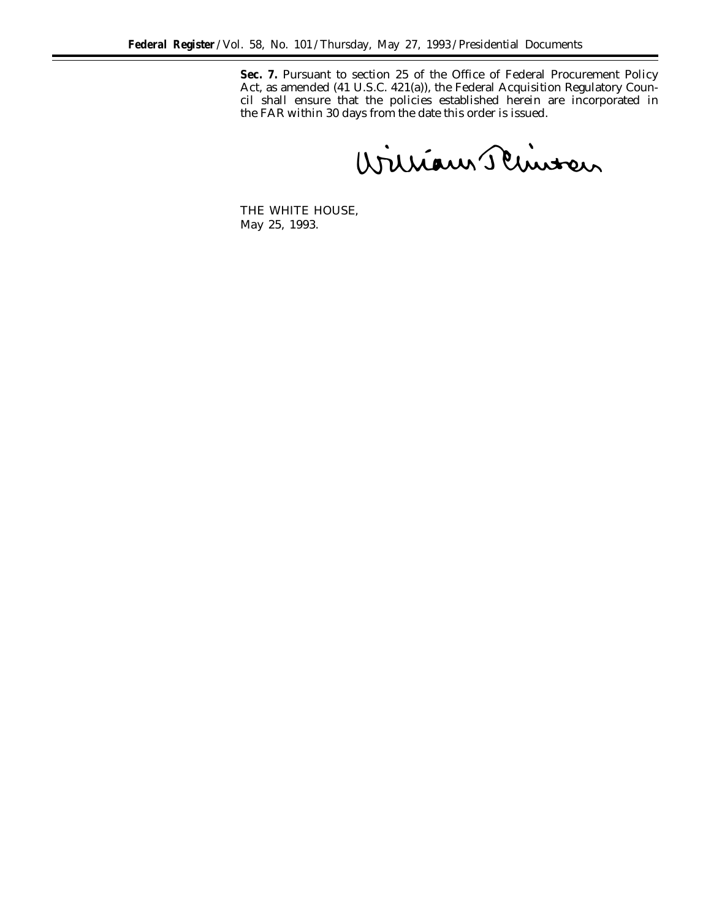Sec. 7. Pursuant to section 25 of the Office of Federal Procurement Policy Act, as amended (41 U.S.C. 421(a)), the Federal Acquisition Regulatory Council shall ensure that the policies established herein are incorporated in the FAR within 30 days from the date this order is issued.

William Plinter

THE WHITE HOUSE, *May 25, 1993.*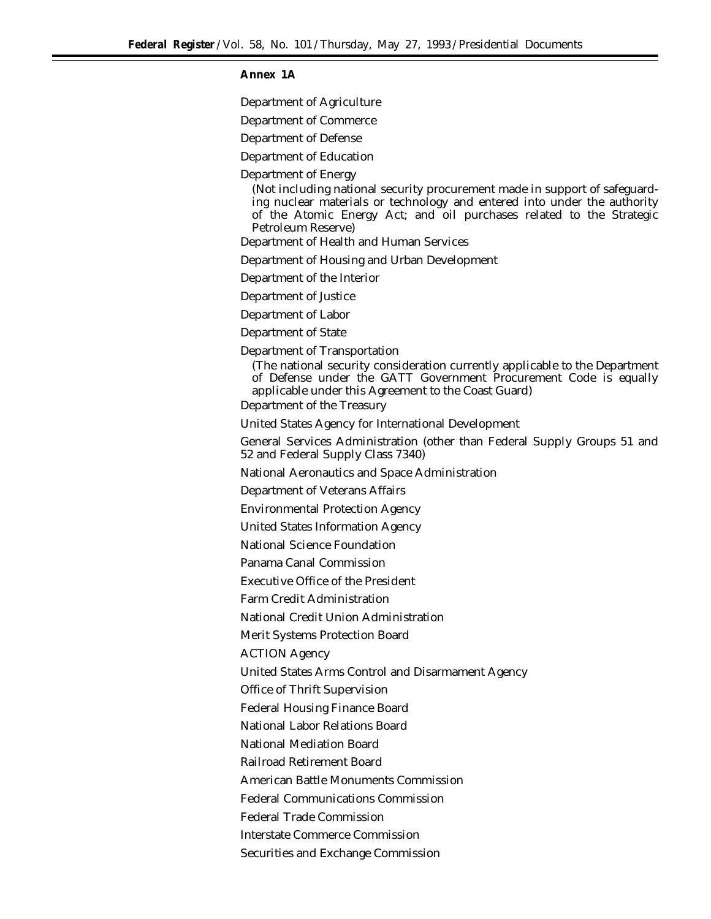## **Annex 1A**

Department of Agriculture

Department of Commerce

Department of Defense

Department of Education

Department of Energy

(Not including national security procurement made in support of safeguarding nuclear materials or technology and entered into under the authority of the Atomic Energy Act; and oil purchases related to the Strategic Petroleum Reserve)

Department of Health and Human Services

Department of Housing and Urban Development

Department of the Interior

Department of Justice

Department of Labor

Department of State

Department of Transportation

(The national security consideration currently applicable to the Department of Defense under the GATT Government Procurement Code is equally applicable under this Agreement to the Coast Guard)

Department of the Treasury

United States Agency for International Development

General Services Administration (other than Federal Supply Groups 51 and 52 and Federal Supply Class 7340)

National Aeronautics and Space Administration

Department of Veterans Affairs

Environmental Protection Agency

United States Information Agency

National Science Foundation

Panama Canal Commission

Executive Office of the President

Farm Credit Administration

National Credit Union Administration

Merit Systems Protection Board

ACTION Agency

United States Arms Control and Disarmament Agency

Office of Thrift Supervision

Federal Housing Finance Board

National Labor Relations Board

National Mediation Board

Railroad Retirement Board

American Battle Monuments Commission

Federal Communications Commission

Federal Trade Commission

Interstate Commerce Commission

Securities and Exchange Commission